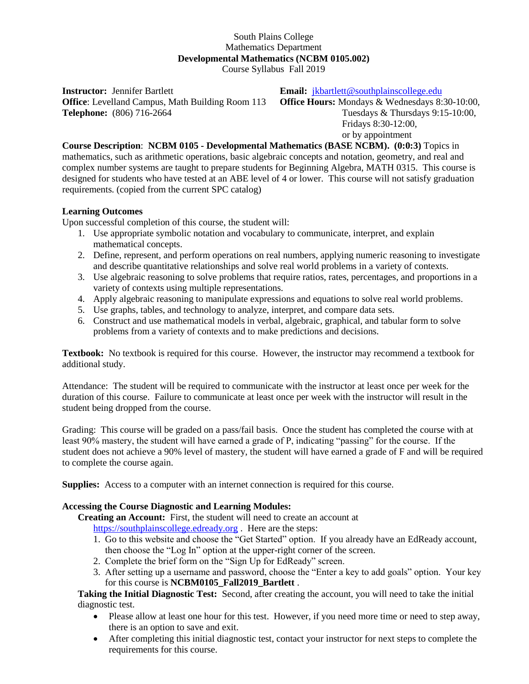## South Plains College Mathematics Department **Developmental Mathematics (NCBM 0105.002)**

Course Syllabus Fall 2019

**Instructor:** Jennifer Bartlett **Email: i**kbartlett@southplainscollege.edu **Office**: Levelland Campus, Math Building Room 113 **Office Hours:** Mondays & Wednesdays 8:30-10:00, **Telephone:** (806) 716-2664 Tuesdays 8: Thursdays 9:15-10:00,

Fridays 8:30-12:00, or by appointment

**Course Description**: **NCBM 0105 - Developmental Mathematics (BASE NCBM). (0:0:3)** Topics in mathematics, such as arithmetic operations, basic algebraic concepts and notation, geometry, and real and complex number systems are taught to prepare students for Beginning Algebra, MATH 0315. This course is designed for students who have tested at an ABE level of 4 or lower. This course will not satisfy graduation requirements. (copied from the current SPC catalog)

## **Learning Outcomes**

Upon successful completion of this course, the student will:

- 1. Use appropriate symbolic notation and vocabulary to communicate, interpret, and explain mathematical concepts.
- 2. Define, represent, and perform operations on real numbers, applying numeric reasoning to investigate and describe quantitative relationships and solve real world problems in a variety of contexts.
- 3. Use algebraic reasoning to solve problems that require ratios, rates, percentages, and proportions in a variety of contexts using multiple representations.
- 4. Apply algebraic reasoning to manipulate expressions and equations to solve real world problems.
- 5. Use graphs, tables, and technology to analyze, interpret, and compare data sets.
- 6. Construct and use mathematical models in verbal, algebraic, graphical, and tabular form to solve problems from a variety of contexts and to make predictions and decisions.

**Textbook:** No textbook is required for this course. However, the instructor may recommend a textbook for additional study.

Attendance: The student will be required to communicate with the instructor at least once per week for the duration of this course. Failure to communicate at least once per week with the instructor will result in the student being dropped from the course.

Grading: This course will be graded on a pass/fail basis. Once the student has completed the course with at least 90% mastery, the student will have earned a grade of P, indicating "passing" for the course. If the student does not achieve a 90% level of mastery, the student will have earned a grade of F and will be required to complete the course again.

**Supplies:** Access to a computer with an internet connection is required for this course.

## **Accessing the Course Diagnostic and Learning Modules:**

**Creating an Account:** First, the student will need to create an account at

[https://southplainscollege.edready.org](https://southplainscollege.edready.org/) . Here are the steps:

- 1. Go to this website and choose the "Get Started" option. If you already have an EdReady account, then choose the "Log In" option at the upper-right corner of the screen.
- 2. Complete the brief form on the "Sign Up for EdReady" screen.
- 3. After setting up a username and password, choose the "Enter a key to add goals" option. Your key for this course is **NCBM0105\_Fall2019\_Bartlett** .

**Taking the Initial Diagnostic Test:** Second, after creating the account, you will need to take the initial diagnostic test.

- Please allow at least one hour for this test. However, if you need more time or need to step away, there is an option to save and exit.
- After completing this initial diagnostic test, contact your instructor for next steps to complete the requirements for this course.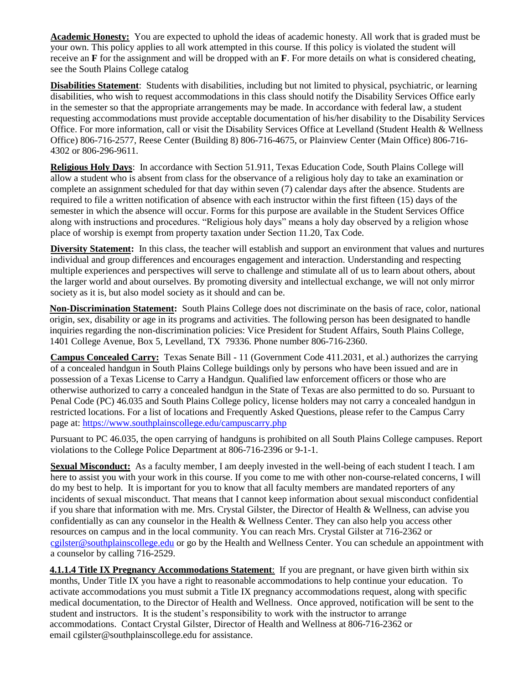**Academic Honesty:** You are expected to uphold the ideas of academic honesty. All work that is graded must be your own. This policy applies to all work attempted in this course. If this policy is violated the student will receive an **F** for the assignment and will be dropped with an **F**. For more details on what is considered cheating, see the South Plains College catalog

**Disabilities Statement**: Students with disabilities, including but not limited to physical, psychiatric, or learning disabilities, who wish to request accommodations in this class should notify the Disability Services Office early in the semester so that the appropriate arrangements may be made. In accordance with federal law, a student requesting accommodations must provide acceptable documentation of his/her disability to the Disability Services Office. For more information, call or visit the Disability Services Office at Levelland (Student Health & Wellness Office) 806-716-2577, Reese Center (Building 8) 806-716-4675, or Plainview Center (Main Office) 806-716- 4302 or 806-296-9611.

**Religious Holy Days**: In accordance with Section 51.911, Texas Education Code, South Plains College will allow a student who is absent from class for the observance of a religious holy day to take an examination or complete an assignment scheduled for that day within seven (7) calendar days after the absence. Students are required to file a written notification of absence with each instructor within the first fifteen (15) days of the semester in which the absence will occur. Forms for this purpose are available in the Student Services Office along with instructions and procedures. "Religious holy days" means a holy day observed by a religion whose place of worship is exempt from property taxation under Section 11.20, Tax Code.

**Diversity Statement:** In this class, the teacher will establish and support an environment that values and nurtures individual and group differences and encourages engagement and interaction. Understanding and respecting multiple experiences and perspectives will serve to challenge and stimulate all of us to learn about others, about the larger world and about ourselves. By promoting diversity and intellectual exchange, we will not only mirror society as it is, but also model society as it should and can be.

**Non-Discrimination Statement:** South Plains College does not discriminate on the basis of race, color, national origin, sex, disability or age in its programs and activities. The following person has been designated to handle inquiries regarding the non-discrimination policies: Vice President for Student Affairs, South Plains College, 1401 College Avenue, Box 5, Levelland, TX 79336. Phone number 806-716-2360.

**Campus Concealed Carry:** Texas Senate Bill - 11 (Government Code 411.2031, et al.) authorizes the carrying of a concealed handgun in South Plains College buildings only by persons who have been issued and are in possession of a Texas License to Carry a Handgun. Qualified law enforcement officers or those who are otherwise authorized to carry a concealed handgun in the State of Texas are also permitted to do so. Pursuant to Penal Code (PC) 46.035 and South Plains College policy, license holders may not carry a concealed handgun in restricted locations. For a list of locations and Frequently Asked Questions, please refer to the Campus Carry page at: [https://www.southplainscollege.edu/campuscarry.php](http://www.southplainscollege.edu/campuscarry.php)

Pursuant to PC 46.035, the open carrying of handguns is prohibited on all South Plains College campuses. Report violations to the College Police Department at 806-716-2396 or 9-1-1.

**Sexual Misconduct:** As a faculty member, I am deeply invested in the well-being of each student I teach. I am here to assist you with your work in this course. If you come to me with other non-course-related concerns, I will do my best to help. It is important for you to know that all faculty members are mandated reporters of any incidents of sexual misconduct. That means that I cannot keep information about sexual misconduct confidential if you share that information with me. Mrs. Crystal Gilster, the Director of Health & Wellness, can advise you confidentially as can any counselor in the Health & Wellness Center. They can also help you access other resources on campus and in the local community. You can reach Mrs. Crystal Gilster at 716-2362 or [cgilster@southplainscollege.edu](mailto:cgilster@southplainscollege.edu) or go by the Health and Wellness Center. You can schedule an appointment with a counselor by calling 716-2529.

**4.1.1.4 Title IX Pregnancy Accommodations Statement**: If you are pregnant, or have given birth within six months, Under Title IX you have a right to reasonable accommodations to help continue your education. To activate accommodations you must submit a Title IX pregnancy accommodations request, along with specific medical documentation, to the Director of Health and Wellness. Once approved, notification will be sent to the student and instructors. It is the student's responsibility to work with the instructor to arrange accommodations. Contact Crystal Gilster, Director of Health and Wellness at 806-716-2362 or email [cgilster@southplainscollege.edu](mailto:cgilster@southplainscollege.edu?subject=Title%20IX%20Pregnancy%20Accomodation) for assistance.